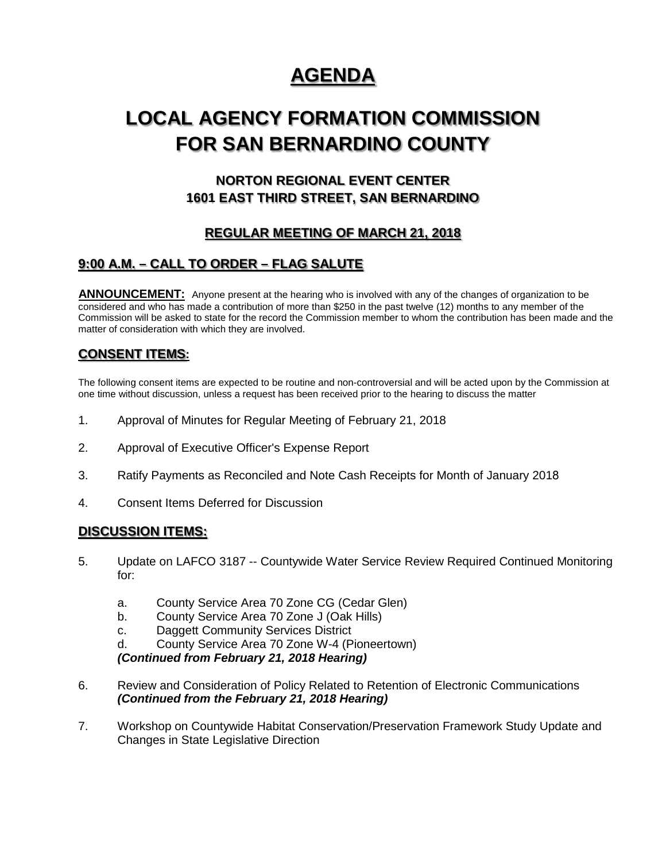# **AGENDA**

# **LOCAL AGENCY FORMATION COMMISSION FOR SAN BERNARDINO COUNTY**

# **NORTON REGIONAL EVENT CENTER 1601 EAST THIRD STREET, SAN BERNARDINO**

# **REGULAR MEETING OF MARCH 21, 2018**

# **9:00 A.M. – CALL TO ORDER – FLAG SALUTE**

**ANNOUNCEMENT:** Anyone present at the hearing who is involved with any of the changes of organization to be considered and who has made a contribution of more than \$250 in the past twelve (12) months to any member of the Commission will be asked to state for the record the Commission member to whom the contribution has been made and the matter of consideration with which they are involved.

### **CONSENT ITEMS:**

The following consent items are expected to be routine and non-controversial and will be acted upon by the Commission at one time without discussion, unless a request has been received prior to the hearing to discuss the matter

- 1. Approval of Minutes for Regular Meeting of February 21, 2018
- 2. Approval of Executive Officer's Expense Report
- 3. Ratify Payments as Reconciled and Note Cash Receipts for Month of January 2018
- 4. Consent Items Deferred for Discussion

### **DISCUSSION ITEMS:**

- 5. Update on LAFCO 3187 -- Countywide Water Service Review Required Continued Monitoring for:
	- a. County Service Area 70 Zone CG (Cedar Glen)
	- b. County Service Area 70 Zone J (Oak Hills)
	- c. Daggett Community Services District
	- d. County Service Area 70 Zone W-4 (Pioneertown)

*(Continued from February 21, 2018 Hearing)*

- 6. Review and Consideration of Policy Related to Retention of Electronic Communications *(Continued from the February 21, 2018 Hearing)*
- 7. Workshop on Countywide Habitat Conservation/Preservation Framework Study Update and Changes in State Legislative Direction